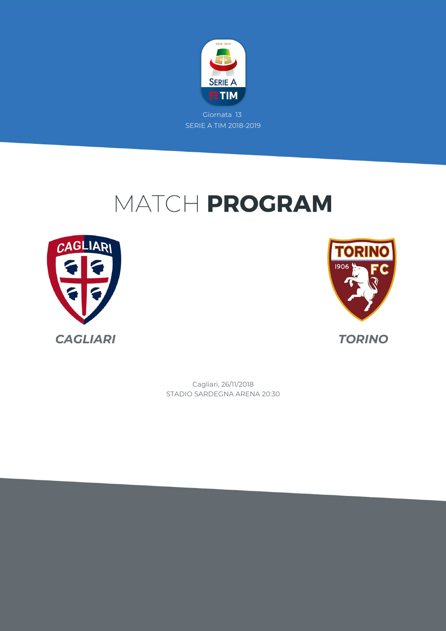

## MATCH PROGRAM





STADIO SARDEGNA ARENA 20:30 Cagliari, 26/11/2018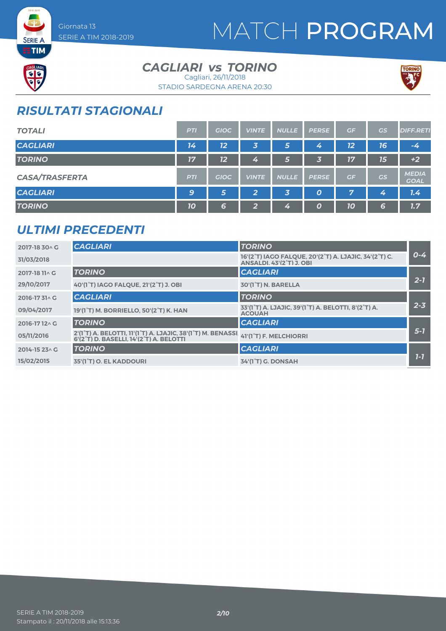## MATCH PROGRAM



**SERIE A** 

### *CAGLIARI TORINO vs*

STADIO SARDEGNA ARENA 20:30 Cagliari, 26/11/2018



### *RISULTATI STAGIONALI*

| <b>TOTALI</b>         | <b>PTI</b> | <b>GIOC</b> | <b>VINTE</b>   | <b>NULLE</b> | <b>PERSE</b>     | GF | GS | <b>DIFF.RETI</b>            |
|-----------------------|------------|-------------|----------------|--------------|------------------|----|----|-----------------------------|
| <b>CAGLIARI</b>       | 14         | 12          | $\vert$ 3,     | 5            | 4                | 12 | 76 | $-4$                        |
| <b>TORINO</b>         | 17         | 12          | 4              | 6            | 3                | 17 | 15 | $+2$                        |
| <b>CASA/TRASFERTA</b> | <b>PTI</b> | <b>GIOC</b> | <b>VINTE</b>   | <b>NULLE</b> | <b>PERSE</b>     | GF | GS | <b>MEDIA</b><br><b>GOAL</b> |
| <b>CAGLIARI</b>       | 9          | 5           | $\overline{2}$ | 3            | $\boldsymbol{o}$ | 7  | 4  | 7.4                         |
| <b>TORINO</b>         | 70         | 6           | 2              | 4            | $\boldsymbol{0}$ | 10 | 6  | 1.7                         |

#### *ULTIMI PRECEDENTI*

| 2017-18 30 \ G | <b>CAGLIARI</b>                                                                                                                | <b>TORINO</b>                                                                            |         |
|----------------|--------------------------------------------------------------------------------------------------------------------------------|------------------------------------------------------------------------------------------|---------|
| 31/03/2018     |                                                                                                                                | 16'(2°T) IAGO FALQUE, 20'(2°T) A. LJAJIC, 34'(2°T) C.<br><b>ANSALDI, 43'(2°T) J. OBI</b> | $0 - 4$ |
| 2017-18 11 \ G | <b>TORINO</b>                                                                                                                  | <b>CAGLIARI</b>                                                                          |         |
| 29/10/2017     | 40'(1°T) IAGO FALQUE, 21'(2°T) J. OBI                                                                                          | 30'(1 <sup>°</sup> T) N. BARELLA                                                         | $2 - 7$ |
| 2016-1731^G    | <b>CAGLIARI</b>                                                                                                                | <b>TORINO</b>                                                                            |         |
| 09/04/2017     | 19'(1°T) M. BORRIELLO, 50'(2°T) K. HAN                                                                                         | 33'(1°T) A. LJAJIC, 39'(1°T) A. BELOTTI, 8'(2°T) A.<br><b>ACOUAH</b>                     | $2 - 3$ |
| 2016-1712^C    | <b>TORINO</b>                                                                                                                  | <b>CAGLIARI</b>                                                                          |         |
| 05/11/2016     | 2'(1°T) A. BELOTTI, 11'(1°T) A. LJAJIC, 38'(1°T) M. BENASSI, 41'(1°T) F. MELCHIORRI<br>6'(2°T) D. BASELLI. 14'(2°T) A. BELOTTI |                                                                                          | $5 - 7$ |
| 2014-15 23 \ G | <b>TORINO</b>                                                                                                                  | <b>CAGLIARI</b>                                                                          |         |
| 15/02/2015     | 35'(1°T) O. EL KADDOURI                                                                                                        | 34'(1°T) G. DONSAH                                                                       | $1 - 7$ |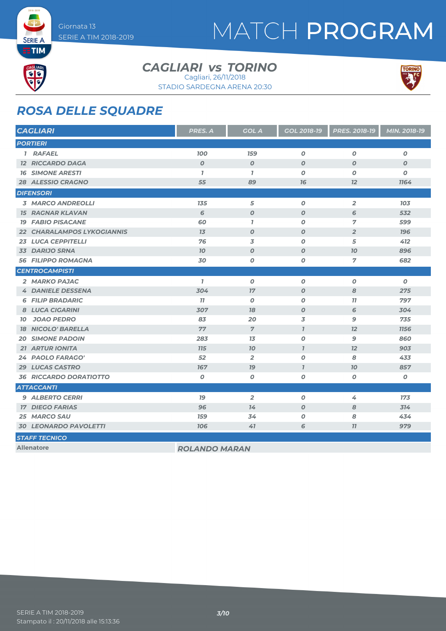## MATCH PROGRAM



**SERIE A** 

#### *CAGLIARI TORINO vs*

STADIO SARDEGNA ARENA 20:30 Cagliari, 26/11/2018



#### *ROSA DELLE SQUADRE*

| <b>CAGLIARI</b>                | PRES. A              | <b>GOL A</b>     | GOL 2018-19      | PRES. 2018-19    | MIN. 2018-19     |
|--------------------------------|----------------------|------------------|------------------|------------------|------------------|
| <b>PORTIERI</b>                |                      |                  |                  |                  |                  |
| 1 RAFAEL                       | <b>100</b>           | <b>159</b>       | $\boldsymbol{o}$ | $\boldsymbol{O}$ | 0                |
| <b>12 RICCARDO DAGA</b>        | $\boldsymbol{O}$     | $\boldsymbol{O}$ | $\boldsymbol{0}$ | $\boldsymbol{O}$ | $\boldsymbol{o}$ |
| <b>16 SIMONE ARESTI</b>        | $\mathbf{I}$         | $\mathbf{7}$     | $\boldsymbol{0}$ | $\boldsymbol{O}$ | 0                |
| 28 ALESSIO CRAGNO              | 55                   | 89               | 76               | 12               | 1164             |
| <b>DIFENSORI</b>               |                      |                  |                  |                  |                  |
| <b>3 MARCO ANDREOLLI</b>       | 135                  | 5                | $\boldsymbol{o}$ | $\overline{2}$   | 103              |
| <b>15 RAGNAR KLAVAN</b>        | 6                    | $\boldsymbol{O}$ | $\boldsymbol{0}$ | 6                | 532              |
| <b>19 FABIO PISACANE</b>       | 60                   | $\overline{1}$   | $\boldsymbol{O}$ | $\overline{7}$   | 599              |
| 22 CHARALAMPOS LYKOGIANNIS     | 13                   | $\boldsymbol{O}$ | $\boldsymbol{O}$ | $\overline{2}$   | <b>196</b>       |
| <b>23 LUCA CEPPITELLI</b>      | 76                   | 3                | $\boldsymbol{O}$ | 5                | 412              |
| 33 DARIJO SRNA                 | 70                   | $\boldsymbol{O}$ | $\boldsymbol{0}$ | 70               | 896              |
| <b>56 FILIPPO ROMAGNA</b>      | 30                   | 0                | 0                | $\overline{7}$   | 682              |
| <b>CENTROCAMPISTI</b>          |                      |                  |                  |                  |                  |
| 2 MARKO PAJAC                  | $\mathbf{7}$         | $\boldsymbol{O}$ | $\boldsymbol{o}$ | $\boldsymbol{O}$ | $\boldsymbol{0}$ |
| <b>4 DANIELE DESSENA</b>       | 304                  | 17               | $\boldsymbol{0}$ | 8                | 275              |
| <b>6 FILIP BRADARIC</b>        | 77                   | $\boldsymbol{0}$ | $\boldsymbol{0}$ | 77               | 797              |
| 8 LUCA CIGARINI                | 307                  | 18               | $\boldsymbol{O}$ | 6                | 304              |
| <b>JOAO PEDRO</b><br><b>10</b> | 83                   | 20               | 3                | 9                | 735              |
| <b>18 NICOLO' BARELLA</b>      | 77                   | $\overline{7}$   | $\overline{I}$   | 12               | <b>1156</b>      |
| <b>SIMONE PADOIN</b><br>20     | 283                  | 13               | $\boldsymbol{O}$ | $\mathbf{9}$     | 860              |
| <b>21 ARTUR IONITA</b>         | <b>715</b>           | $70^{\circ}$     | $\overline{I}$   | 12               | 903              |
| 24 PAOLO FARAGO'               | 52                   | $\overline{2}$   | $\boldsymbol{O}$ | 8                | 433              |
| 29 LUCAS CASTRO                | 167                  | 79               | $\overline{1}$   | 70               | 857              |
| <b>36 RICCARDO DORATIOTTO</b>  | O                    | $\boldsymbol{O}$ | 0                | 0                | O                |
| <b>ATTACCANTI</b>              |                      |                  |                  |                  |                  |
| <b>9 ALBERTO CERRI</b>         | 79                   | $\overline{2}$   | $\boldsymbol{0}$ | 4                | 173              |
| <b>17 DIEGO FARIAS</b>         | 96                   | 14               | $\boldsymbol{O}$ | 8                | 314              |
| 25 MARCO SAU                   | <b>159</b>           | 34               | $\boldsymbol{0}$ | 8                | 434              |
| <b>30 LEONARDO PAVOLETTI</b>   | <b>106</b>           | 41               | 6                | 77               | 979              |
| <b>STAFF TECNICO</b>           |                      |                  |                  |                  |                  |
| <b>Allenatore</b>              | <b>ROLANDO MARAN</b> |                  |                  |                  |                  |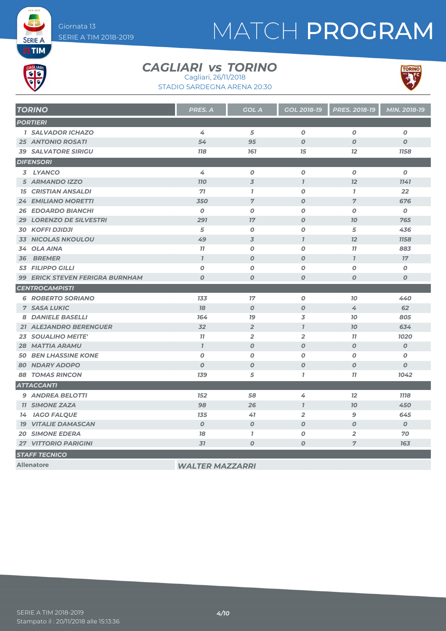## MATCH PROGRAM



**SERIE A** 

#### *CAGLIARI TORINO vs* Cagliari, 26/11/2018

STADIO SARDEGNA ARENA 20:30



| <b>TORINO</b>                          | <b>PRES. A</b>              | <b>GOL A</b>     | GOL 2018-19      | PRES. 2018-19    | MIN. 2018-19     |
|----------------------------------------|-----------------------------|------------------|------------------|------------------|------------------|
| <b>PORTIERI</b>                        |                             |                  |                  |                  |                  |
| <b>1 SALVADOR ICHAZO</b>               | 4                           | 5                | $\boldsymbol{O}$ | 0                | $\boldsymbol{O}$ |
| <b>25 ANTONIO ROSATI</b>               | 54                          | 95               | $\boldsymbol{O}$ | $\boldsymbol{O}$ | $\boldsymbol{O}$ |
| <b>39 SALVATORE SIRIGU</b>             | <b>118</b>                  | 161              | 15               | 12               | <b>1158</b>      |
| <b>DIFENSORI</b>                       |                             |                  |                  |                  |                  |
| 3 LYANCO                               | 4                           | $\boldsymbol{o}$ | 0                | $\boldsymbol{O}$ | $\boldsymbol{O}$ |
| 5 ARMANDO IZZO                         | <b>110</b>                  | 3                | $\overline{1}$   | 12               | 1141             |
| <b>15 CRISTIAN ANSALDI</b>             | 71                          | $\mathbf{7}$     | $\boldsymbol{o}$ | $\mathbf{7}$     | 22               |
| <b>EMILIANO MORETTI</b><br>$24^{6}$    | 350                         | $\overline{7}$   | $\boldsymbol{O}$ | $\overline{7}$   | 676              |
| <b>26 EDOARDO BIANCHI</b>              | $\boldsymbol{O}$            | $\boldsymbol{O}$ | $\boldsymbol{O}$ | $\boldsymbol{O}$ | $\boldsymbol{0}$ |
| 29 LORENZO DE SILVESTRI                | 291                         | 17               | $\pmb{o}$        | 70               | 765              |
| <b>30 KOFFI DJIDJI</b>                 | 5                           | O                | $\boldsymbol{o}$ | 5                | 436              |
| <b>NICOLAS NKOULOU</b><br>33           | 49                          | 3                | $\mathbf{I}$     | 12               | <b>1158</b>      |
| <b>OLA AINA</b><br>34                  | 11                          | $\boldsymbol{O}$ | $\boldsymbol{o}$ | 11               | 883              |
| <b>BREMER</b><br>36                    | $\overline{I}$              | $\boldsymbol{O}$ | $\boldsymbol{O}$ | $\mathbf{7}$     | 17 <sup>7</sup>  |
| <b>FILIPPO GILLI</b><br>53             | $\boldsymbol{O}$            | $\boldsymbol{O}$ | O                | $\boldsymbol{O}$ | $\boldsymbol{o}$ |
| <b>99 ERICK STEVEN FERIGRA BURNHAM</b> | $\boldsymbol{O}$            | $\boldsymbol{O}$ | $\boldsymbol{O}$ | $\boldsymbol{O}$ | $\boldsymbol{O}$ |
| <b>CENTROCAMPISTI</b>                  |                             |                  |                  |                  |                  |
| <b>6 ROBERTO SORIANO</b>               | 133                         | 17               | 0                | 70               | 440              |
| <b>7 SASA LUKIC</b>                    | 78                          | $\boldsymbol{O}$ | $\boldsymbol{O}$ | 4                | 62               |
| 8 DANIELE BASELLI                      | 164                         | 79               | 3                | 70               | 805              |
| 21 ALEJANDRO BERENGUER                 | 32                          | $\overline{2}$   | $\mathbf{7}$     | 70               | 634              |
| <b>23 SOUALIHO MEITE'</b>              | 11                          | $\overline{2}$   | $\overline{2}$   | 77               | 1020             |
| <b>28 MATTIA ARAMU</b>                 | $\boldsymbol{\overline{I}}$ | $\boldsymbol{O}$ | $\boldsymbol{O}$ | $\boldsymbol{O}$ | $\overline{O}$   |
| <b>50 BEN LHASSINE KONE</b>            | O                           | O                | 0                | O                | $\boldsymbol{o}$ |
| <b>80 NDARY ADOPO</b>                  | $\boldsymbol{O}$            | $\boldsymbol{O}$ | $\boldsymbol{O}$ | $\boldsymbol{O}$ | $\boldsymbol{O}$ |
| <b>88 TOMAS RINCON</b>                 | <b>139</b>                  | 5                | $\overline{1}$   | 77               | 1042             |
| <b>ATTACCANTI</b>                      |                             |                  |                  |                  |                  |
| 9 ANDREA BELOTTI                       | 152                         | 58               | 4                | 12               | <b>1118</b>      |
| <b>11 SIMONE ZAZA</b>                  | 98                          | 26               | $\mathbf{I}$     | 70               | 450              |
| 14 IAGO FALQUE                         | 135                         | 41               | $\overline{2}$   | $\mathbf{9}$     | 645              |
| <b>19 VITALIE DAMASCAN</b>             | $\boldsymbol{O}$            | $\boldsymbol{O}$ | $\boldsymbol{O}$ | $\boldsymbol{O}$ | $\boldsymbol{0}$ |
| <b>20 SIMONE EDERA</b>                 | 78                          | $\mathbf{7}$     | 0                | $\overline{2}$   | 70               |
| <b>27 VITTORIO PARIGINI</b>            | 31                          | $\boldsymbol{O}$ | 0                | $\overline{7}$   | 163              |
| <b>STAFF TECNICO</b>                   |                             |                  |                  |                  |                  |

**Allenatore** *WALTER MAZZARRI*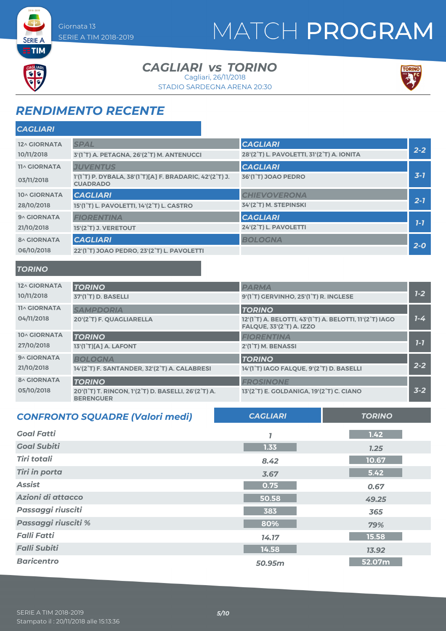## MATCH PROGRAM



**SERIE A** 

#### *CAGLIARI TORINO vs* Cagliari, 26/11/2018

STADIO SARDEGNA ARENA 20:30



### *RENDIMENTO RECENTE*

| <b>CAGLIARI</b>     |                                                                                                                   |                                           |              |
|---------------------|-------------------------------------------------------------------------------------------------------------------|-------------------------------------------|--------------|
| 12^ GIORNATA        | <b>SPAL</b>                                                                                                       | <b>CAGLIARI</b>                           |              |
| 10/11/2018          | 3'(1°T) A. PETAGNA, 26'(2°T) M. ANTENUCCI                                                                         | 28'(2°T) L. PAVOLETTI, 31'(2°T) A. IONITA | $2 - 2$      |
| <b>11^ GIORNATA</b> | <b>JUVENTUS</b>                                                                                                   | <b>CAGLIARI</b>                           |              |
| 03/11/2018          | 1'(1 <sup>°</sup> T) P. DYBALA, 38'(1 <sup>°</sup> T)[A] F. BRADARIC, 42'(2 <sup>°</sup> T) J.<br><b>CUADRADO</b> | 36'(1°T) JOAO PEDRO                       | $3 - 7$      |
| 10^ GIORNATA        | <b>CAGLIARI</b>                                                                                                   | <b>CHIEVOVERONA</b>                       |              |
| 28/10/2018          | 15'(1°T) L. PAVOLETTI, 14'(2°T) L. CASTRO                                                                         | 34'(2°T) M. STEPINSKI                     | $2 - 7$      |
| 9^ GIORNATA         | <b>FIORENTINA</b>                                                                                                 | <b>CAGLIARI</b>                           | $1 - 7$      |
| 21/10/2018          | 15'(2°T) J. VERETOUT                                                                                              | 24'(2°T) L. PAVOLETTI                     |              |
| <b>8^ GIORNATA</b>  | <b>CAGLIARI</b>                                                                                                   | <b>BOLOGNA</b>                            | $2-0$        |
| 06/10/2018          | 22'(1°T) JOAO PEDRO, 23'(2°T) L. PAVOLETTI                                                                        |                                           |              |
| <b>TORINO</b>       |                                                                                                                   |                                           |              |
| 12^ GIORNATA        | <b>TORINO</b>                                                                                                     | <b>PARMA</b>                              |              |
| 10/11/2018          | 37'(1 <sup>°</sup> T) D. BASELLI                                                                                  | 9'(1°T) GERVINHO, 25'(1°T) R. INGLESE     | $1 - 2$      |
| <b>11^ GIORNATA</b> | <b>SAMPDORIA</b>                                                                                                  | <b>TORINO</b>                             |              |
| $0.1$ he loose      |                                                                                                                   |                                           | $\mathbf{z}$ |

| 04/11/2018         | 20'(2°T) F. QUAGLIARELLA                                                | 12'(1°T) A. BELOTTI, 43'(1°T) A. BELOTTI, 11'(2°T) IAGO<br><b>FALQUE, 33'(2°T) A. IZZO</b> | $1 - 4$ |
|--------------------|-------------------------------------------------------------------------|--------------------------------------------------------------------------------------------|---------|
| 10^ GIORNATA       | <b>TORINO</b>                                                           | <b>FIORENTINA</b>                                                                          |         |
| 27/10/2018         | 13'(1°T)[A] A. LAFONT                                                   | 2'(1°T) M. BENASSI                                                                         | $7 - 7$ |
| 9^ GIORNATA        | <b>BOLOGNA</b>                                                          | <b>TORINO</b>                                                                              |         |
| 21/10/2018         | 14'(2°T) F. SANTANDER, 32'(2°T) A. CALABRESI                            | 14'(1°T) IAGO FALQUE, 9'(2°T) D. BASELLI                                                   | $2 - 2$ |
| <b>8^ GIORNATA</b> | <b>TORINO</b>                                                           | <b>FROSINONE</b>                                                                           |         |
| 05/10/2018         | 20'(1°T) T. RINCON, 1'(2°T) D. BASELLI, 26'(2°T) A.<br><b>BERENGUER</b> | 13'(2°T) E. GOLDANIGA, 19'(2°T) C. CIANO                                                   | $3 - 2$ |

| <b>CONFRONTO SQUADRE (Valori medi)</b> | <b>CAGLIARI</b> | <b>TORINO</b> |
|----------------------------------------|-----------------|---------------|
| <b>Goal Fatti</b>                      |                 | 1.42          |
| <b>Goal Subiti</b>                     | 1.33            | 1.25          |
| <b>Tiri totali</b>                     | 8.42            | 10.67         |
| <b>Tiri in porta</b>                   | 3.67            | 5.42          |
| <b>Assist</b>                          | 0.75            | 0.67          |
| Azioni di attacco                      | 50.58           | 49.25         |
| Passaggi riusciti                      | 383             | 365           |
| Passaggi riusciti %                    | 80%             | 79%           |
| <b>Falli Fatti</b>                     | 14.17           | 15.58         |
| <b>Falli Subiti</b>                    | 14.58           | 13.92         |
| <b>Baricentro</b>                      | 50.95m          | 52.07m        |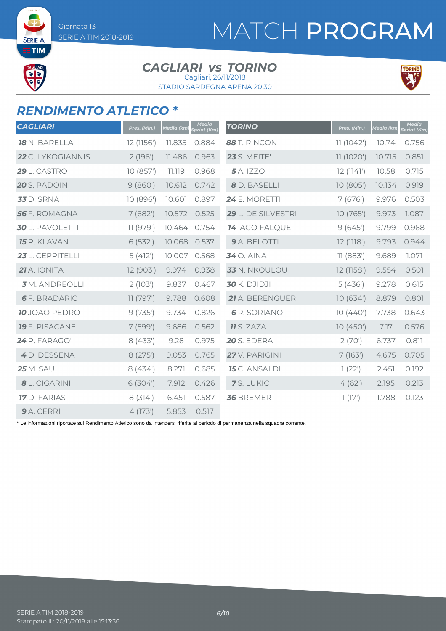SERIE / **ETIM** 

 $\frac{1}{15}$ 

## MATCH PROGRAM

#### *CAGLIARI TORINO vs* Cagliari, 26/11/2018

STADIO SARDEGNA ARENA 20:30



#### *RENDIMENTO ATLETICO \**

| <b>CAGLIARI</b>        | Pres. (Min.) | <u>Media (km)</u> | <b>Media</b><br>Sprint (Km) | <b>TORINO</b>         | Pres. (Min.) | Media (km) | <b>Media</b><br>Sprint (Km) |
|------------------------|--------------|-------------------|-----------------------------|-----------------------|--------------|------------|-----------------------------|
| <b>18</b> N. BARELLA   | 12 (1156')   | 11.835            | 0.884                       | 88 T. RINCON          | 11(1042)     | 10.74      | 0.756                       |
| 22 C. LYKOGIANNIS      | 2(196)       | 11.486            | 0.963                       | <b>23</b> S. MEITE'   | 11(1020')    | 10.715     | 0.851                       |
| 29 L. CASTRO           | 10 (857')    | 11.119            | 0.968                       | <b>5</b> A. IZZO      | 12(1141)     | 10.58      | 0.715                       |
| 20 S. PADOIN           | 9(860)       | 10.612            | 0.742                       | 8 D. BASELLI          | 10(805)      | 10.134     | 0.919                       |
| <b>33</b> D. SRNA      | 10 (896')    | 10.601            | 0.897                       | 24 E. MORETTI         | 7(676)       | 9.976      | 0.503                       |
| <b>56</b> F. ROMAGNA   | 7(682)       | 10.572            | 0.525                       | 29 L. DE SILVESTRI    | 10(765)      | 9.973      | 1.087                       |
| <b>30</b> L. PAVOLETTI | 11 (979')    | 10.464            | 0.754                       | <b>14 IAGO FALQUE</b> | 9(645)       | 9.799      | 0.968                       |
| <b>15</b> R. KLAVAN    | 6(532)       | 10.068            | 0.537                       | 9 A. BELOTTI          | 12 (1118')   | 9.793      | 0.944                       |
| 23 L. CEPPITELLI       | 5(412)       | 10.007            | 0.568                       | <b>34</b> O. AINA     | 11 (883')    | 9.689      | 1.071                       |
| 21 A. IONITA           | 12 (903')    | 9.974             | 0.938                       | 33 N. NKOULOU         | 12 (1158')   | 9.554      | 0.501                       |
| <b>3</b> M. ANDREOLLI  | 2(103)       | 9.837             | 0.467                       | <b>30</b> K. DJIDJI   | 5(436)       | 9.278      | 0.615                       |
| <b>6</b> F. BRADARIC   | 11 (797')    | 9.788             | 0.608                       | 21 A. BERENGUER       | 10(634)      | 8.879      | 0.801                       |
| <b>10</b> JOAO PEDRO   | 9(735)       | 9.734             | 0.826                       | <b>6</b> R. SORIANO   | 10(440)      | 7.738      | 0.643                       |
| <b>19</b> F. PISACANE  | 7(599)       | 9.686             | 0.562                       | <b>11</b> S. ZAZA     | 10(450)      | 7.17       | 0.576                       |
| 24 P. FARAGO'          | 8(433')      | 9.28              | 0.975                       | <b>20 S. EDERA</b>    | 2(70)        | 6.737      | 0.811                       |
| 4 D. DESSENA           | 8(275)       | 9.053             | 0.765                       | 27 V. PARIGINI        | 7(163)       | 4.675      | 0.705                       |
| <b>25</b> M. SAU       | 8(434)       | 8.271             | 0.685                       | <b>15</b> C. ANSALDI  | 1(22')       | 2.451      | 0.192                       |
| 8 L. CIGARINI          | 6(304)       | 7.912             | 0.426                       | 7S. LUKIC             | 4(62)        | 2.195      | 0.213                       |
| <b>17</b> D. FARIAS    | 8(314)       | 6.451             | 0.587                       | 36 BREMER             | 1(17)        | 1.788      | 0.123                       |
| 9 A. CERRI             | 4(173)       | 5.853             | 0.517                       |                       |              |            |                             |

\* Le informazioni riportate sul Rendimento Atletico sono da intendersi riferite al periodo di permanenza nella squadra corrente.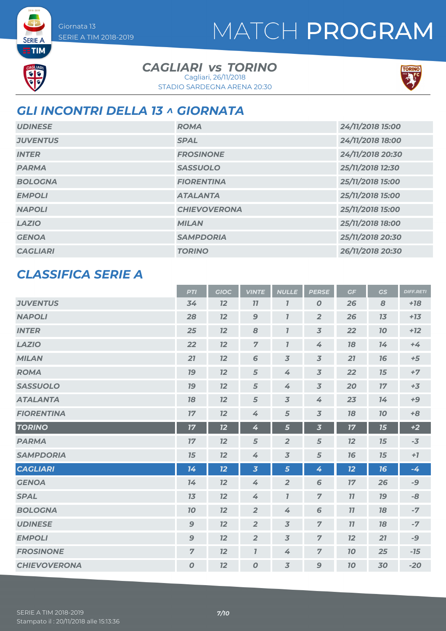## MATCH PROGRAM



**SERIE A** 

*CAGLIARI TORINO vs* Cagliari, 26/11/2018

STADIO SARDEGNA ARENA 20:30



### *GLI INCONTRI DELLA 13 ^ GIORNATA*

| <b>UDINESE</b>  | <b>ROMA</b>         | 24/11/2018 15:00 |
|-----------------|---------------------|------------------|
| <b>JUVENTUS</b> | <b>SPAL</b>         | 24/11/2018 18:00 |
| <b>INTER</b>    | <b>FROSINONE</b>    | 24/11/2018 20:30 |
| <b>PARMA</b>    | <b>SASSUOLO</b>     | 25/11/2018 12:30 |
| <b>BOLOGNA</b>  | <b>FIORENTINA</b>   | 25/11/2018 15:00 |
| <b>EMPOLI</b>   | <b>ATALANTA</b>     | 25/11/2018 15:00 |
| <b>NAPOLI</b>   | <b>CHIEVOVERONA</b> | 25/11/2018 15:00 |
| <b>LAZIO</b>    | <b>MILAN</b>        | 25/11/2018 18:00 |
| <b>GENOA</b>    | <b>SAMPDORIA</b>    | 25/11/2018 20:30 |
| <b>CAGLIARI</b> | <b>TORINO</b>       | 26/11/2018 20:30 |

#### *CLASSIFICA SERIE A*

|                     | <b>PTI</b>       | <b>GIOC</b> | <b>VINTE</b>            | <b>NULLE</b>            | <b>PERSE</b>             | GF | GS        | <b>DIFF.RETI</b> |
|---------------------|------------------|-------------|-------------------------|-------------------------|--------------------------|----|-----------|------------------|
| <b>JUVENTUS</b>     | 34               | 12          | 77                      | $\overline{\mathbf{I}}$ | $\boldsymbol{0}$         | 26 | 8         | $+18$            |
| <b>NAPOLI</b>       | 28               | 12          | $\boldsymbol{9}$        | $\overline{I}$          | $\overline{2}$           | 26 | 13        | $+13$            |
| <b>INTER</b>        | 25               | 12          | 8                       | $\overline{I}$          | $\overline{3}$           | 22 | 70        | $+12$            |
| <b>LAZIO</b>        | 22               | 12          | $\overline{7}$          | $\overline{I}$          | 4                        | 78 | 14        | $+4$             |
| <b>MILAN</b>        | 21               | 12          | 6                       | $\overline{3}$          | $\overline{3}$           | 21 | 16        | $+5$             |
| <b>ROMA</b>         | <b>19</b>        | 12          | $\sqrt{5}$              | 4                       | $\overline{3}$           | 22 | 15        | $+7$             |
| <b>SASSUOLO</b>     | 19               | 12          | 5                       | 4                       | $\overline{\mathcal{S}}$ | 20 | 17        | $+3$             |
| <b>ATALANTA</b>     | 78               | 12          | 5                       | $\overline{3}$          | 4                        | 23 | 14        | $+9$             |
| <b>FIORENTINA</b>   | 17               | 12          | 4                       | 5                       | $\overline{3}$           | 78 | 70        | $+8$             |
| <b>TORINO</b>       | 17               | 12          | 4                       | 5                       | $\overline{\mathbf{3}}$  | 17 | 15        | $+2$             |
| <b>PARMA</b>        | 17               | 12          | 5                       | $\overline{2}$          | 5                        | 12 | 15        | $-3$             |
| <b>SAMPDORIA</b>    | 15               | 12          | 4                       | $\overline{3}$          | $\sqrt{5}$               | 76 | 15        | $+7$             |
| <b>CAGLIARI</b>     | 14               | 12          | $\overline{\mathbf{3}}$ | $\overline{5}$          | 4                        | 12 | 16        | $-4$             |
| <b>GENOA</b>        | 14               | 12          | 4                       | $\overline{2}$          | 6                        | 17 | 26        | -9               |
| <b>SPAL</b>         | 13               | 12          | 4                       | $\overline{I}$          | $\overline{z}$           | 11 | <b>19</b> | -8               |
| <b>BOLOGNA</b>      | 10               | 12          | $\overline{2}$          | 4                       | 6                        | 11 | 18        | $-7$             |
| <b>UDINESE</b>      | $\mathbf{9}$     | 12          | $\overline{2}$          | $\overline{3}$          | $\overline{z}$           | 11 | 18        | $-7$             |
| <b>EMPOLI</b>       | $\mathbf{9}$     | 12          | $\overline{2}$          | 3                       | $\overline{7}$           | 12 | 21        | -9               |
| <b>FROSINONE</b>    | $\overline{7}$   | 12          | $\overline{I}$          | 4                       | $\overline{7}$           | 10 | 25        | $-15$            |
| <b>CHIEVOVERONA</b> | $\boldsymbol{o}$ | 12          | $\boldsymbol{0}$        | $\overline{3}$          | $\mathbf{9}$             | 10 | 30        | $-20$            |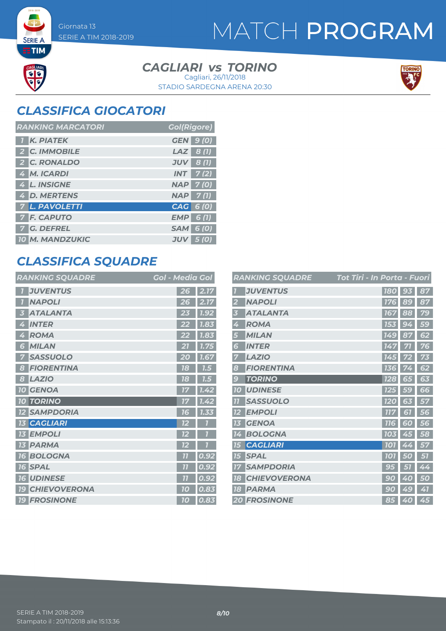**SERIE A ETIM** 

da<br>da

### MATCH PROGRAM

#### *CAGLIARI TORINO vs* Cagliari, 26/11/2018

STADIO SARDEGNA ARENA 20:30



### *CLASSIFICA GIOCATORI*

| <b>RANKING MARCATORI</b> | <b>Gol(Rigore)</b>  |
|--------------------------|---------------------|
| <b>K. PIATEK</b>         | <b>GEN 9 (0)</b>    |
| 2 C. IMMOBILE            | $LAZ$ 8(1)          |
| 2 C. RONALDO             | $JUV$ 8 (1)         |
| 4 M. ICARDI              | $INT$ 7(2)          |
| 4 L. INSIGNE             | <b>NAP 7(0)</b>     |
| 4 D. MERTENS             | $NAP$ 7(1)          |
| <b>7 L. PAVOLETTI</b>    | CAG 6 (0)           |
| <b>7 F. CAPUTO</b>       | EMP<br>6(1)         |
| <b>G. DEFREL</b>         | <b>SAM</b><br>6 (O) |
| <b>10 M. MANDZUKIC</b>   | <b>JUV</b><br>5 (O) |

### *CLASSIFICA SQUADRE*

| <b>RANKING SQUADRE</b>       | <b>Gol - Media Gol</b> |
|------------------------------|------------------------|
| <b>JUVENTUS</b>              | 2.17<br>26             |
| <b>NAPOLI</b>                | 2.17<br>26             |
| <b>ATALANTA</b>              | 1.92                   |
| 3                            | 23                     |
| <b>INTER</b>                 | 1.83                   |
| 4                            | 22                     |
| <b>ROMA</b>                  | 7.83                   |
| 4                            | 22                     |
| <b>MILAN</b>                 | $\overline{1.75}$      |
| 6                            | 21                     |
| <b>SASSUOLO</b>              | 1.67                   |
| 7                            | 20                     |
| <b>FIORENTINA</b>            | 18                     |
| 8                            | 7.5                    |
| <b>LAZIO</b>                 | 1.5                    |
| 8                            | 78                     |
| <b>10 GENOA</b>              | 1.42<br>77             |
| <b>10 TORINO</b>             | 1.42<br>17             |
| <b>SAMPDORIA</b>             | 7.33                   |
| <b>12</b>                    | 76                     |
| <b>CAGLIARI</b><br><b>13</b> | 12                     |
| <b>EMPOLI</b><br><b>13</b>   | 12                     |
| <b>13 PARMA</b>              | 12                     |
| <b>BOLOGNA</b>               | 0.92                   |
| <b>16</b>                    | $\overline{11}$        |
| <b>SPAL</b>                  | $\overline{11}$        |
| <b>16</b>                    | 0.92                   |
| <b>16 UDINESE</b>            | 0.92<br>77             |
| <b>CHIEVOVERONA</b>          | 0.83                   |
| <b>19</b>                    | 10                     |
| <b>19 FROSINONE</b>          | 0.83<br>10             |

|                  | <b>RANKING SQUADRE</b> | Tot Tiri - In Porta - Fuori |           |    |
|------------------|------------------------|-----------------------------|-----------|----|
|                  | <b>JUVENTUS</b>        |                             | 180 93    | 87 |
| $\overline{2}$   | <b>NAPOLI</b>          | <b>176</b>                  | 89        | 87 |
| 3                | <b>ATALANTA</b>        | 167                         | 88        | 79 |
| 4                | <b>ROMA</b>            | 153                         | 94        | 59 |
| 5                | <b>MILAN</b>           | 149                         | 87        | 62 |
| 6                | <b>INTER</b>           | 147                         | 71        | 76 |
| 7                | <b>LAZIO</b>           | 145                         |           | 73 |
| 8                | <b>FIORENTINA</b>      | 136                         | 72        | 62 |
| 9                | <b>TORINO</b>          | 128                         | 65        | 63 |
| 10               | <b>UDINESE</b>         | <b>125</b>                  | <b>59</b> | 66 |
| $\overline{1}$   | <b>SASSUOLO</b>        | 120                         | 63        | 57 |
| 12               | <b>EMPOLI</b>          | <b>777</b>                  | 67        | 56 |
| 13               | <b>GENOA</b>           | <b>116</b>                  | 60        | 56 |
| 14               | <b>BOLOGNA</b>         | <b>103</b>                  | 45        | 58 |
| 15               | <b>CAGLIARI</b>        | <b>101</b>                  | 44        | 57 |
| 15 <sup>15</sup> | <b>SPAL</b>            | <b>101</b>                  | 50        | 51 |
| 17               | <b>SAMPDORIA</b>       | 95                          | 51        | 44 |
| 18               | <b>CHIEVOVERONA</b>    | 9<br>$\overline{0}$         | Ø<br>0    | 50 |
| 18               | <b>PARMA</b>           | 90                          | 49        | 41 |
|                  | <b>20 FROSINONE</b>    |                             | 85 40     | 45 |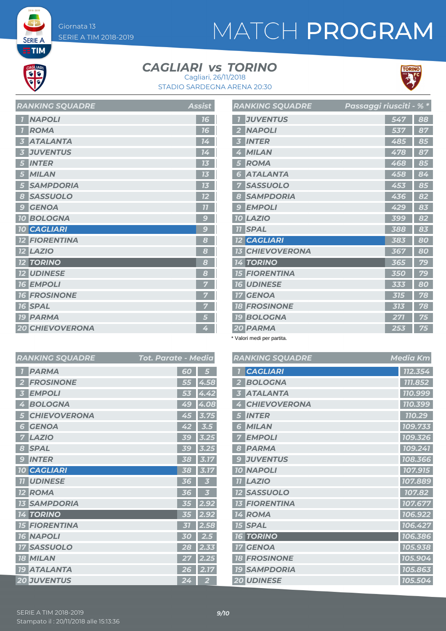# MATCH PROGRAM



**SERIE A ETIM** 

#### *CAGLIARI TORINO vs* Cagliari, 26/11/2018

STADIO SARDEGNA ARENA 20:30



*RANKING SQUADRE Media Km CAGLIARI 112.354 BOLOGNA 111.852 ATALANTA 110.999*  $|$  **710.399**  *INTER 110.29 MILAN 109.733 EMPOLI 109.326 PARMA 109.241 JUVENTUS 108.366 NAPOLI 107.915 LAZIO 107.889 107.82 FIORENTINA 107.677 ROMA 106.922 SPAL 106.427 TORINO 106.386 GENOA 105.938 FROSINONE 105.904 SAMPDORIA 105.863 UDINESE 105.504*

| $\overline{\mathbf{1}}$ | <b>NAPOLI</b>          | 16             |
|-------------------------|------------------------|----------------|
| $\overline{1}$          | <b>ROMA</b>            | 16             |
| $\overline{\mathbf{3}}$ | <b>ATALANTA</b>        | 14             |
| $\overline{3}$          | <b>JUVENTUS</b>        | 14             |
| 5 <sup>5</sup>          | <b>INTER</b>           | 13             |
| 5 <sup>5</sup>          | <b>MILAN</b>           | 13             |
| 5 <sub>5</sub>          | <b>SAMPDORIA</b>       | 13             |
| $\boldsymbol{8}$        | <b>SASSUOLO</b>        | 12             |
| $\overline{9}$          | <b>GENOA</b>           | 77             |
|                         | <b>10 BOLOGNA</b>      | $\overline{S}$ |
|                         | <b>10 CAGLIARI</b>     | 9              |
|                         | <b>12 FIORENTINA</b>   | 8              |
|                         | <b>12 LAZIO</b>        | 8              |
|                         | <b>12 TORINO</b>       | 8              |
|                         | <b>12 UDINESE</b>      | 8              |
|                         | <b>16 EMPOLI</b>       |                |
|                         | <b>16 FROSINONE</b>    | 7              |
|                         | <b>16 SPAL</b>         | 7              |
|                         | <b>19 PARMA</b>        |                |
|                         | <b>20 CHIEVOVERONA</b> | 4              |

*RANKING SOLIANDE* Assist

|                          | <b>RANKING SQUADRE</b> | Passaggi riusciti - % * |     |    |
|--------------------------|------------------------|-------------------------|-----|----|
|                          | <b>JUVENTUS</b>        |                         | 547 | 88 |
| $\overline{2}$           | <b>NAPOLI</b>          |                         | 537 | 87 |
| 3                        | <b>INTER</b>           |                         | 485 | 85 |
| 4                        | <b>MILAN</b>           |                         | 478 | 87 |
| 5                        | <b>ROMA</b>            |                         | 468 | 85 |
| 6                        | <b>ATALANTA</b>        |                         | 458 | 84 |
| 7                        | <b>SASSUOLO</b>        |                         | 453 | 85 |
| 8                        | <b>SAMPDORIA</b>       |                         | 436 | 82 |
| $\overline{\mathcal{L}}$ | <b>EMPOLI</b>          |                         | 429 | 83 |
| 70                       | LAZIO                  |                         | 399 | 82 |
| 11                       | <b>SPAL</b>            |                         | 388 | 83 |
| 12                       | <b>CAGLIARI</b>        |                         | 383 | 80 |
| 13                       | <b>CHIEVOVERONA</b>    |                         | 367 | 80 |
| 14                       | <b>TORINO</b>          |                         | 365 | 79 |
| 15                       | <b>FIORENTINA</b>      |                         | 350 | 79 |
|                          | <b>16 UDINESE</b>      |                         | 333 | 80 |
| 17                       | <b>GENOA</b>           |                         | 315 | 78 |
|                          | <b>18 FROSINONE</b>    |                         | 313 | 78 |
| 79                       | <b>BOLOGNA</b>         |                         | 271 | 75 |
|                          | 20 PARMA               |                         | 253 | 75 |

\* Valori medi per partita.

| <b>Tot. Parate - Media</b> | <b>RANKING SQUADRE</b>   |  |
|----------------------------|--------------------------|--|
| 60<br>5                    | <b>CAGLIARI</b>          |  |
| 55 4.58                    | <b>BOLOGNA</b>           |  |
| 4.42<br>53                 | <b>ATALANTA</b>          |  |
| 49 4.08                    | <b>CHIEVOVERONA</b><br>4 |  |
| 45<br>3.75                 | <b>INTER</b>             |  |
| 42<br>3.5                  | <b>MILAN</b><br>6        |  |
| 39<br>3.25                 | <b>EMPOLI</b>            |  |
| 39<br>3.25                 | <b>PARMA</b><br>8        |  |
| 38<br>3.17                 | <b>JUVENTUS</b><br>9     |  |
| 38<br>3.17                 | <b>10 NAPOLI</b>         |  |
| 36<br>3                    | <b>11 LAZIO</b>          |  |
| 36<br>3                    | <b>12 SASSUOLO</b>       |  |
| 2.92<br>35                 | <b>FIORENTINA</b>        |  |
| 2.92<br>35                 | 14 ROMA                  |  |
| 2.58<br>31                 | <b>15 SPAL</b>           |  |
| 2.5<br>30                  | <b>16 TORINO</b>         |  |
| 2.33<br>28                 | <b>GENOA</b><br>17       |  |
| 2.25<br>27                 | <b>18 FROSINONE</b>      |  |
| 2.17<br>26                 | <b>19 SAMPDORIA</b>      |  |
| 24<br>$\overline{2}$       | 20 UDINESE               |  |

| <b>RANKING SQUADRE</b>  | Tot. Parate - Media |                |
|-------------------------|---------------------|----------------|
| <b>PARMA</b>            | 60                  | 5              |
| <b>FROSINONE</b>        | 55                  | 4.58           |
| <b>EMPOLI</b>           | 53                  | 4.42           |
| <b>BOLOGNA</b>          | 49                  | 4.08           |
| <b>CHIEVOVERONA</b>     | 45                  | 3.75           |
| <b>GENOA</b><br>6       | 42                  | 3.5            |
| <b>LAZIO</b>            |                     | 3.25           |
| <b>SPAL</b><br>8        |                     | 3.25           |
| <b>INTER</b><br>g       | 38                  | 3.17           |
| <b>10 CAGLIARI</b>      | 38                  | 3.17           |
| <b>11 UDINESE</b>       | 36                  | 3              |
| 12 ROMA                 | 36                  | 3              |
| <b>13 SAMPDORIA</b>     | 35                  | 2.92           |
| <b>14 TORINO</b>        | 35                  | 2.92           |
| <b>FIORENTINA</b><br>75 | 31                  | 2.58           |
| <b>16 NAPOLI</b>        | 30                  | 2.5            |
| <b>SASSUOLO</b>         | 28                  | 2.33           |
| <b>MILAN</b><br>18      | 27                  | 2.25           |
| <b>19 ATALANTA</b>      | 26                  | 2.17           |
| <b>20 JUVENTUS</b>      | 24                  | $\overline{2}$ |